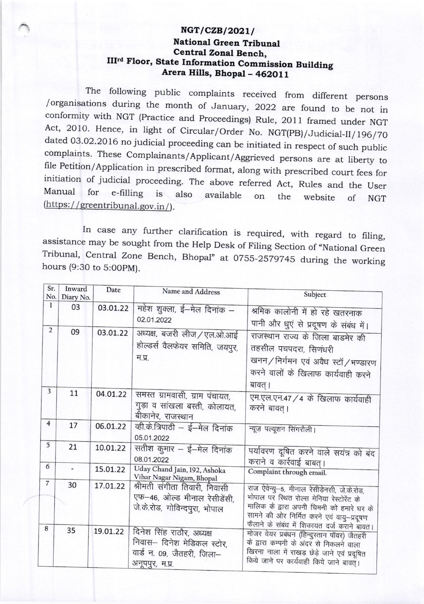## $NGT/CZB/2021/$ National Green Tribunal Central Zonal Bench, III'd Floor, State Information Commission Building Arera Hills, Bhopal - 462011

The following public complaints received from different persons /organisations during the month of January, 2022 are found to be not in /organisations during the month of January, 2022 are found to be not in conformity with NGT (Practice and Proceedings) Rule, 2011 framed under NGT Act, 2010. Hence, in light of Circular/Order No. NGT(PB)/Judicial-II/196/7 J

In case any further clarification is required, with regard to filing, assistance may be sought from the Help Desk of Filing Section of "National Green Tribunal, Central Zone Bench, Bhopal" at 0755-2579745 during the workin

| Sr.            | Inward                   | Date     | Name and Address                                                                                         | Subject                                                                                                                                                                                                                           |
|----------------|--------------------------|----------|----------------------------------------------------------------------------------------------------------|-----------------------------------------------------------------------------------------------------------------------------------------------------------------------------------------------------------------------------------|
| No.            | Diary No.                |          |                                                                                                          |                                                                                                                                                                                                                                   |
| 1              | 03                       | 03.01.22 | महेश शुक्ला, ई—मेल दिनांक —<br>02.01.2022                                                                | श्रमिक कालोनी में हो रहे खतरनाक<br>पानी और धुएं से प्रदूषण के संबंध में।                                                                                                                                                          |
| $\overline{2}$ | 09                       | 03.01.22 | अध्यक्ष, बजरी लीज / एल.ओ.आई<br>होल्डर्स वैलफेयर समिति, जयपुर,<br>म.प्र.                                  | राजस्थान राज्य के जिला बाडमेर की<br>तहसील पचपदरा, सिणंधरी<br>खनन/निर्गमन एवं अवैध स्टॉ/भण्डारण<br>करने वालों के खिलाफ कार्यवाही करने<br>बावत् ।                                                                                   |
| $\overline{3}$ | 11                       | 04.01.22 | समस्त ग्रामवासी, ग्राम पंचायत,<br>गुड़ा व सांखला बस्ती, कोलायत,<br>बीकानेर, राजस्थान                     | एम.एल.एन.47 / 4 के खिलाफ कार्यवाही<br>करने बावत् ।                                                                                                                                                                                |
| $\overline{4}$ | 17                       | 06.01.22 | व्ही.के.त्रिपाठी – ई–मेल दिनांक<br>05.01.2022                                                            | न्यूज़ पल्यूशन सिंगरौली।                                                                                                                                                                                                          |
| 5              | 21                       | 10.01.22 | सतीश कुमार – ई–मेल दिनांक<br>08.01.2022                                                                  | पर्यावरण दूषित करने वाले सयंत्र को बंद<br>कराने व कार्रवाई बाबत् ।                                                                                                                                                                |
| 6              | $\overline{\phantom{a}}$ | 15.01.22 | Uday Chand Jain, 192, Ashoka<br>Vihar Nagar Nigam, Bhopal                                                | Complaint through email.                                                                                                                                                                                                          |
| $\overline{7}$ | 30                       | 17.01.22 | श्रीमती संगीता तिवारी, निवासी<br>एफ-46, ओल्ड मीनाल रेसीडेंसी,<br>जे.के.रोड, गोविन्दपुरा, भोपाल           | राज ऐवेन्यु-5, मीनाल रेसीडेनसी, जे.के.रोड,<br>भोपाल पर स्थित रोल्स मेनिया रेस्टोरेंट के<br>मालिक के द्वारा अपनी चिमनी को हमारे घर के<br>सामने की ओर निर्मित करने एवं वायु-प्रदूषण                                                 |
| 8              | 35                       | 19.01.22 | दिनेश सिंह राठौर, अध्यक्ष<br>निवास– दिनेश मेडिकल स्टोर,<br>वार्ड न. 09, जैतहरी, जिला-<br>अनूपपुर, म.प्र. | फैलाने के संबंध में शिकायत दर्ज कराने बावत।<br>मोजर वेयर प्रबंधन (हिन्दुस्तान पॉवर) जैतहरी<br>के द्वारा कम्पनी के अंदर से निकलने वाला<br>खिरना नाला में राखड़ छेड़े जाने एवं प्रदूषित<br>किये जाने पर कार्यवाही किये जाने बावत् । |